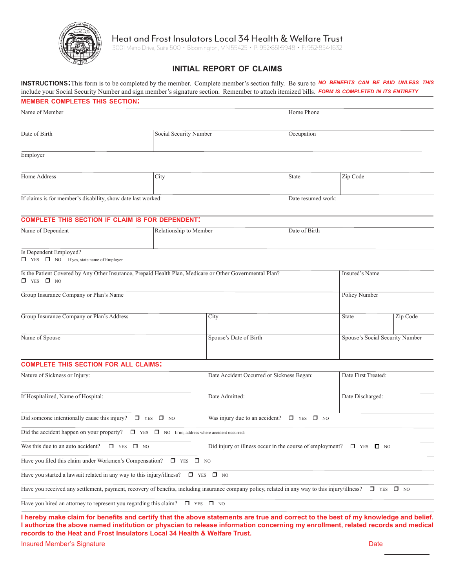

# Heat and Frost Insulators Local 34 Health & Welfare Trust

3001 Metro Drive, Suite 500 • Bloomington, MN 55425 • P: 952•851•5948 • F: 952•854•1632

# **initial report of claims**

**instructions:**This form is to be completed by the member. Complete member's section fully. Be sure to *no benefits can be paid unless this* include your Social Security Number and sign member's signature section. Remember to attach itemized bills. *form is completed in its entirety*

| <b>MEMBER COMPLETES THIS SECTION:</b>                                                                                                                                      |                        |                                                                               |                                           |          |                                 |  |  |
|----------------------------------------------------------------------------------------------------------------------------------------------------------------------------|------------------------|-------------------------------------------------------------------------------|-------------------------------------------|----------|---------------------------------|--|--|
| Name of Member                                                                                                                                                             |                        |                                                                               | Home Phone                                |          |                                 |  |  |
| Date of Birth                                                                                                                                                              | Social Security Number |                                                                               | Occupation                                |          |                                 |  |  |
| Employer                                                                                                                                                                   |                        |                                                                               |                                           |          |                                 |  |  |
| Home Address                                                                                                                                                               | City                   |                                                                               | State                                     | Zip Code |                                 |  |  |
| If claims is for member's disability, show date last worked:                                                                                                               |                        | Date resumed work:                                                            |                                           |          |                                 |  |  |
| <b>COMPLETE THIS SECTION IF CLAIM IS FOR DEPENDENT.</b>                                                                                                                    |                        |                                                                               |                                           |          |                                 |  |  |
| Name of Dependent                                                                                                                                                          | Relationship to Member |                                                                               | Date of Birth                             |          |                                 |  |  |
| Is Dependent Employed?<br>$\Box$ YES $\Box$ NO If yes, state name of Employer                                                                                              |                        |                                                                               |                                           |          |                                 |  |  |
| Is the Patient Covered by Any Other Insurance, Prepaid Health Plan, Medicare or Other Governmental Plan?<br>$\Box$ YES $\Box$ NO                                           |                        |                                                                               |                                           |          | <b>Insured's Name</b>           |  |  |
| Group Insurance Company or Plan's Name                                                                                                                                     |                        |                                                                               |                                           |          | <b>Policy Number</b>            |  |  |
| Group Insurance Company or Plan's Address                                                                                                                                  |                        | City                                                                          |                                           |          | Zip Code                        |  |  |
| Name of Spouse                                                                                                                                                             |                        | Spouse's Date of Birth                                                        |                                           |          | Spouse's Social Security Number |  |  |
| <b>COMPLETE THIS SECTION FOR ALL CLAIMS:</b>                                                                                                                               |                        |                                                                               |                                           |          |                                 |  |  |
| Nature of Sickness or Injury:                                                                                                                                              |                        |                                                                               | Date Accident Occurred or Sickness Began: |          | Date First Treated:             |  |  |
| If Hospitalized, Name of Hospital:                                                                                                                                         |                        | Date Admitted:                                                                |                                           |          | Date Discharged:                |  |  |
| Did someone intentionally cause this injury? $\square$ YES $\square$ NO                                                                                                    |                        | Was injury due to an accident? $\Box$ YES $\Box$ NO                           |                                           |          |                                 |  |  |
| Did the accident happen on your property? $\square$ YES $\square$ NO If no, address where accident occurred:                                                               |                        |                                                                               |                                           |          |                                 |  |  |
| Was this due to an auto accident?<br>$\Box$ YES $\Box$ NO                                                                                                                  |                        | Did injury or illness occur in the course of employment? $\Box$ YES $\Box$ NO |                                           |          |                                 |  |  |
| Have you filed this claim under Workmen's Compensation? $\square$ YES $\square$ NO                                                                                         |                        |                                                                               |                                           |          |                                 |  |  |
| Have you started a lawsuit related in any way to this injury/illness?                                                                                                      |                        | $\Box$ YES $\Box$ NO                                                          |                                           |          |                                 |  |  |
| Have you received any settlement, payment, recovery of benefits, including insurance company policy, related in any way to this injury/illness? $\square$ YES $\square$ NO |                        |                                                                               |                                           |          |                                 |  |  |
| Have you hired an attorney to represent you regarding this claim? $\square$ YES $\square$ NO                                                                               |                        |                                                                               |                                           |          |                                 |  |  |
| I hereby make claim for benefits and certify that the above statements are true and correct to the best of my knowledge and belief.                                        |                        |                                                                               |                                           |          |                                 |  |  |

**I authorize the above named institution or physcian to release information concerning my enrollment, related records and medical records to the Heat and Frost Insulators Local 34 Health & Welfare Trust.**

**Insured Member's Signature Date of American Structure Date of American Structure Date Only and Date Only and Date Only and Date Only and Date Only and Date Only and Date Only and Date Only and Date Only and Date Only and**